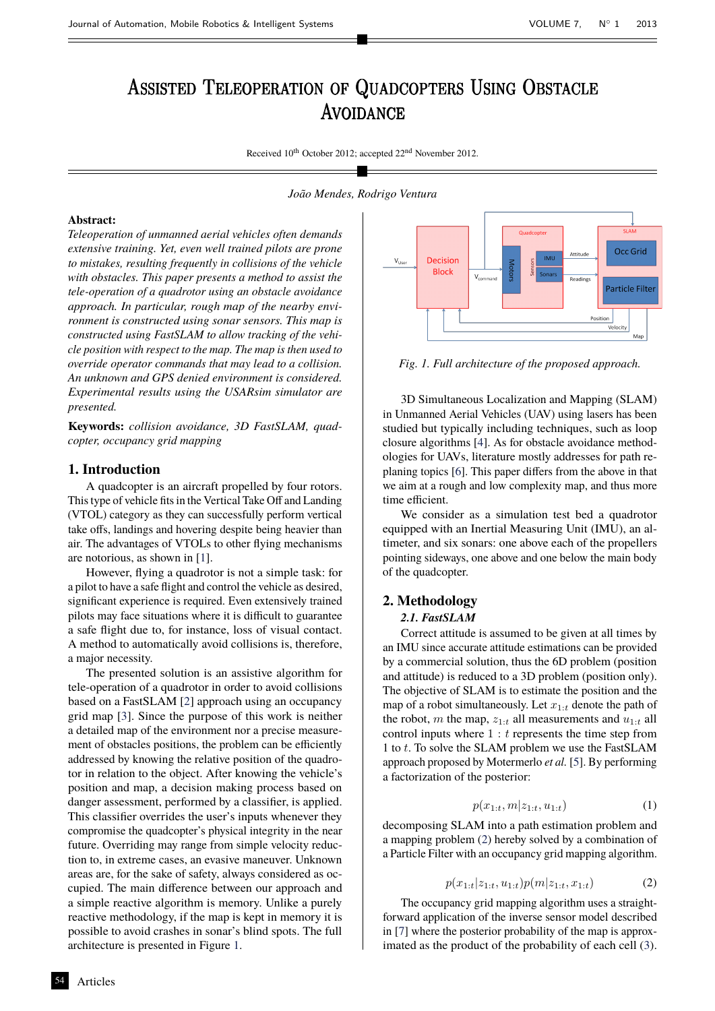# Assisted Teleoperation of Quadcopters Using Obstacle Assisted Teleoperation of Quadcopters Using **AVOIDANCE**

Received  $10^{th}$  October 2012; accepted 22<sup>nd</sup> November 2012.

#### *João Mendes, Rodrigo Ventura*

#### **Abstract:**

*Teleoperation of unmanned aerial vehicles often demands extensive training. Yet, even well trained pilots are prone to mistakes, resulting frequently in collisions of the vehicle with obstacles. This paper presents a method to assist the tele-operation of a quadrotor using an obstacle avoidance approach. In particular, rough map of the nearby environment is constructed using sonar sensors. This map is constructed using FastSLAM to allow tracking of the vehicle position with respect to the map. The map is then used to override operator commands that may lead to a collision. An unknown and GPS denied environment is considered. Experimental results using the USARsim simulator are presented.*

**Keywords:** *collision avoidance, 3D FastSLAM, quadcopter, occupancy grid mapping*

# **1. Introduction**

A quadcopter is an aircraft propelled by four rotors. This type of vehicle fits in the Vertical Take Off and Landing (VTOL) category as they can successfully perform vertical take offs, landings and hovering despite being heavier than air. The advantages of VTOLs to other flying mechanisms are notorious, as shown in [\[1\]](#page-3-0).

However, flying a quadrotor is not a simple task: for a pilot to have a safe flight and control the vehicle as desired, significant experience is required. Even extensively trained pilots may face situations where it is difficult to guarantee a safe flight due to, for instance, loss of visual contact. A method to automatically avoid collisions is, therefore, a major necessity.

The presented solution is an assistive algorithm for tele-operation of a quadrotor in order to avoid collisions based on a FastSLAM [\[2\]](#page-4-0) approach using an occupancy grid map [\[3\]](#page-4-1). Since the purpose of this work is neither a detailed map of the environment nor a precise measurement of obstacles positions, the problem can be efficiently addressed by knowing the relative position of the quadrotor in relation to the object. After knowing the vehicle's position and map, a decision making process based on danger assessment, performed by a classifier, is applied. This classifier overrides the user's inputs whenever they compromise the quadcopter's physical integrity in the near future. Overriding may range from simple velocity reduction to, in extreme cases, an evasive maneuver. Unknown areas are, for the sake of safety, always considered as occupied. The main difference between our approach and a simple reactive algorithm is memory. Unlike a purely reactive methodology, if the map is kept in memory it is possible to avoid crashes in sonar's blind spots. The full architecture is presented in Figure [1.](#page-0-0)



<span id="page-0-0"></span>*Fig. 1. Full architecture of the proposed approach.*

3D Simultaneous Localization and Mapping (SLAM) in Unmanned Aerial Vehicles (UAV) using lasers has been studied but typically including techniques, such as loop closure algorithms [\[4\]](#page-4-2). As for obstacle avoidance methodologies for UAVs, literature mostly addresses for path replaning topics [\[6\]](#page-4-3). This paper differs from the above in that we aim at a rough and low complexity map, and thus more time efficient.

We consider as a simulation test bed a quadrotor equipped with an Inertial Measuring Unit (IMU), an altimeter, and six sonars: one above each of the propellers pointing sideways, one above and one below the main body of the quadcopter.

## **2. Methodology**

# *2.1. FastSLAM*

Correct attitude is assumed to be given at all times by an IMU since accurate attitude estimations can be provided by a commercial solution, thus the 6D problem (position and attitude) is reduced to a 3D problem (position only). The objective of SLAM is to estimate the position and the map of a robot simultaneously. Let  $x_{1:t}$  denote the path of the robot, m the map,  $z_{1:t}$  all measurements and  $u_{1:t}$  all control inputs where  $1 : t$  represents the time step from 1 to t. To solve the SLAM problem we use the FastSLAM approach proposed by Motermerlo *et al.* [\[5\]](#page-4-4). By performing a factorization of the posterior:

$$
p(x_{1:t}, m|z_{1:t}, u_{1:t}) \tag{1}
$$

decomposing SLAM into a path estimation problem and a mapping problem [\(2\)](#page-0-1) hereby solved by a combination of a Particle Filter with an occupancy grid mapping algorithm.

$$
p(x_{1:t}|z_{1:t}, u_{1:t})p(m|z_{1:t}, x_{1:t})
$$
\n(2)

<span id="page-0-1"></span>The occupancy grid mapping algorithm uses a straightforward application of the inverse sensor model described in [\[7\]](#page-4-5) where the posterior probability of the map is approximated as the product of the probability of each cell [\(3\)](#page-1-0).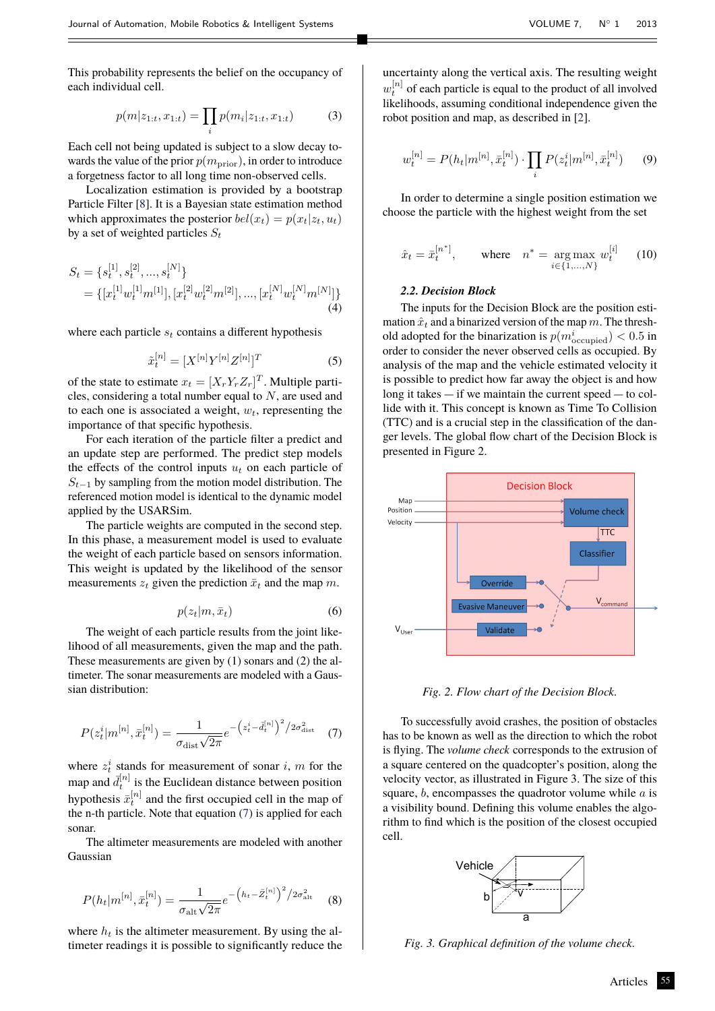<span id="page-1-0"></span>This probability represents the belief on the occupancy of each individual cell.

$$
p(m|z_{1:t}, x_{1:t}) = \prod_i p(m_i|z_{1:t}, x_{1:t})
$$
 (3)

Each cell not being updated is subject to a slow decay towards the value of the prior  $p(m_{\text{prior}})$ , in order to introduce a forgetness factor to all long time non-observed cells.

Localization estimation is provided by a bootstrap Particle Filter [\[8\]](#page-4-6). It is a Bayesian state estimation method which approximates the posterior  $bel(x_t) = p(x_t|z_t, u_t)$ by a set of weighted particles  $S_t$ 

$$
S_t = \{s_t^{[1]}, s_t^{[2]}, ..., s_t^{[N]}\}\
$$
  
= 
$$
\{[x_t^{[1]}w_t^{[1]}m^{[1]}], [x_t^{[2]}w_t^{[2]}m^{[2]}], ..., [x_t^{[N]}w_t^{[N]}m^{[N]}\}\
$$
  
(4)

where each particle  $s_t$  contains a different hypothesis

$$
\tilde{x}_t^{[n]} = [X^{[n]}Y^{[n]}Z^{[n]}]^T
$$
\n(5)

of the state to estimate  $x_t = [X_r Y_r Z_r]^T$ . Multiple particles, considering a total number equal to N, are used and to each one is associated a weight,  $w_t$ , representing the importance of that specific hypothesis.

For each iteration of the particle filter a predict and an update step are performed. The predict step models the effects of the control inputs  $u_t$  on each particle of  $S_{t-1}$  by sampling from the motion model distribution. The referenced motion model is identical to the dynamic model applied by the USARSim.

The particle weights are computed in the second step. In this phase, a measurement model is used to evaluate the weight of each particle based on sensors information. This weight is updated by the likelihood of the sensor measurements  $z_t$  given the prediction  $\bar{x}_t$  and the map m.

$$
p(z_t|m,\bar{x}_t) \tag{6}
$$

The weight of each particle results from the joint likelihood of all measurements, given the map and the path. These measurements are given by (1) sonars and (2) the altimeter. The sonar measurements are modeled with a Gaussian distribution:

<span id="page-1-1"></span>
$$
P(z_t^i|m^{[n]},\bar{x}_t^{[n]}) = \frac{1}{\sigma_{\text{dist}}\sqrt{2\pi}}e^{-\left(z_t^i - \bar{d}_t^{[n]}\right)^2/2\sigma_{\text{dist}}^2} \quad (7)
$$

where  $z_t^i$  stands for measurement of sonar i, m for the map and  $\bar{d}_{t}^{[n]}$  is the Euclidean distance between position hypothesis  $\bar{x}_t^{[n]}$  and the first occupied cell in the map of the n-th particle. Note that equation [\(7\)](#page-1-1) is applied for each sonar.

The altimeter measurements are modeled with another Gaussian

$$
P(h_t|m^{[n]}, \bar{x}_t^{[n]}) = \frac{1}{\sigma_{\text{alt}}\sqrt{2\pi}}e^{-\left(h_t - \bar{Z}_t^{[n]}\right)^2/2\sigma_{\text{alt}}^2} \tag{8}
$$

where  $h_t$  is the altimeter measurement. By using the altimeter readings it is possible to significantly reduce the

uncertainty along the vertical axis. The resulting weight  $w_t^{[n]}$  of each particle is equal to the product of all involved likelihoods, assuming conditional independence given the robot position and map, as described in [\[2\]](#page-4-0).

$$
v_t^{[n]} = P(h_t|m^{[n]}, \bar{x}_t^{[n]}) \cdot \prod_i P(z_t^i|m^{[n]}, \bar{x}_t^{[n]}) \qquad (9)
$$

In order to determine a single position estimation we choose the particle with the highest weight from the set

$$
\hat{x}_t = \bar{x}_t^{[n^*]},
$$
 where  $n^* = \underset{i \in \{1, ..., N\}}{\arg \max} w_t^{[i]}$  (10)

#### *2.2. Decision Block*

 $\iota$ 

The inputs for the Decision Block are the position estimation  $\hat{x}_t$  and a binarized version of the map m. The threshold adopted for the binarization is  $p(m_{\text{occupied}}^i) < 0.5$  in order to consider the never observed cells as occupied. By analysis of the map and the vehicle estimated velocity it is possible to predict how far away the object is and how long it takes  $-$  if we maintain the current speed  $-$  to collide with it. This concept is known as Time To Collision (TTC) and is a crucial step in the classification of the danger levels. The global flow chart of the Decision Block is presented in Figure 2.



*Fig. 2. Flow chart of the Decision Block.*

To successfully avoid crashes, the position of obstacles has to be known as well as the direction to which the robot is flying. The *volume check* corresponds to the extrusion of a square centered on the quadcopter's position, along the velocity vector, as illustrated in Figure 3. The size of this square,  $b$ , encompasses the quadrotor volume while  $a$  is a visibility bound. Defining this volume enables the algorithm to find which is the position of the closest occupied cell.



*Fig. 3. Graphical definition of the volume check.*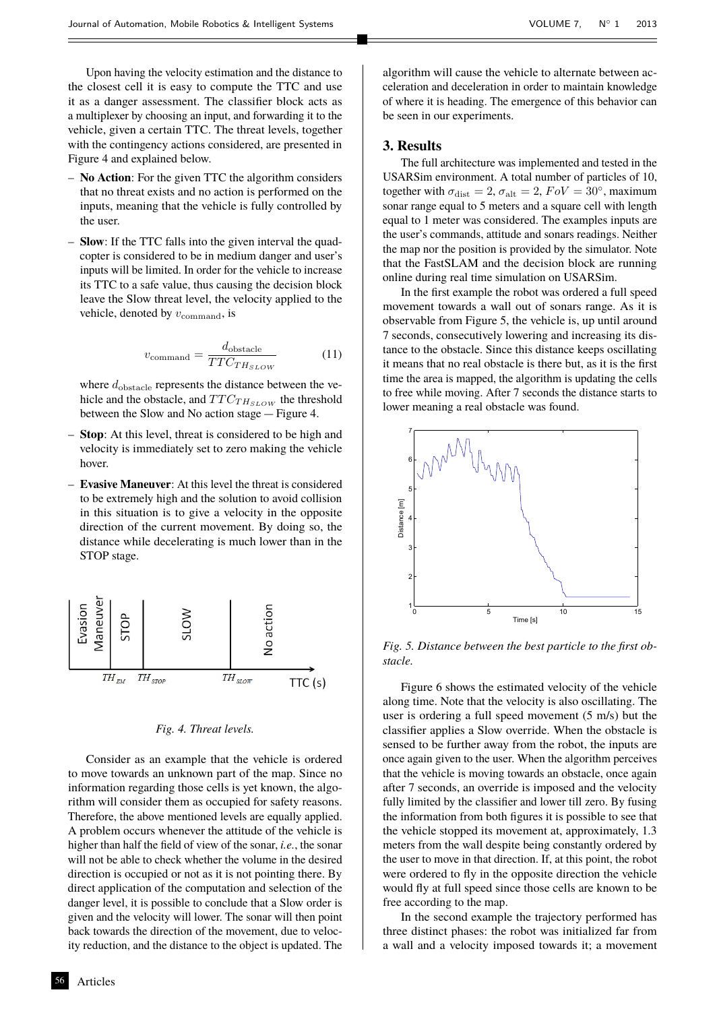Upon having the velocity estimation and the distance to the closest cell it is easy to compute the TTC and use it as a danger assessment. The classifier block acts as a multiplexer by choosing an input, and forwarding it to the vehicle, given a certain TTC. The threat levels, together with the contingency actions considered, are presented in Figure 4 and explained below.

- **No Action**: For the given TTC the algorithm considers that no threat exists and no action is performed on the inputs, meaning that the vehicle is fully controlled by the user.
- **Slow**: If the TTC falls into the given interval the quadcopter is considered to be in medium danger and user's inputs will be limited. In order for the vehicle to increase its TTC to a safe value, thus causing the decision block leave the Slow threat level, the velocity applied to the vehicle, denoted by  $v_{\text{command}}$ , is

$$
v_{\text{command}} = \frac{d_{\text{obstacle}}}{TTC_{TH_{SLOW}}} \tag{11}
$$

where  $d_{\text{obstacle}}$  represents the distance between the vehicle and the obstacle, and  $TTC_{TH_{SLOW}}$  the threshold between the Slow and No action stage  $-$  Figure 4.

- **Stop**: At this level, threat is considered to be high and velocity is immediately set to zero making the vehicle hover.
- **Evasive Maneuver**: At this level the threat is considered to be extremely high and the solution to avoid collision in this situation is to give a velocity in the opposite direction of the current movement. By doing so, the distance while decelerating is much lower than in the STOP stage.



#### *Fig. 4. Threat levels.*

Consider as an example that the vehicle is ordered to move towards an unknown part of the map. Since no information regarding those cells is yet known, the algorithm will consider them as occupied for safety reasons. Therefore, the above mentioned levels are equally applied. A problem occurs whenever the attitude of the vehicle is higher than half the field of view of the sonar, *i.e.*, the sonar will not be able to check whether the volume in the desired direction is occupied or not as it is not pointing there. By direct application of the computation and selection of the danger level, it is possible to conclude that a Slow order is given and the velocity will lower. The sonar will then point back towards the direction of the movement, due to velocity reduction, and the distance to the object is updated. The

**Articles** 

algorithm will cause the vehicle to alternate between acceleration and deceleration in order to maintain knowledge of where it is heading. The emergence of this behavior can be seen in our experiments.

## **3. Results**

The full architecture was implemented and tested in the USARSim environment. A total number of particles of 10, together with  $\sigma_{\text{dist}} = 2$ ,  $\sigma_{\text{alt}} = 2$ ,  $FoV = 30^{\circ}$ , maximum sonar range equal to 5 meters and a square cell with length equal to 1 meter was considered. The examples inputs are the user's commands, attitude and sonars readings. Neither the map nor the position is provided by the simulator. Note that the FastSLAM and the decision block are running online during real time simulation on USARSim.

In the first example the robot was ordered a full speed movement towards a wall out of sonars range. As it is observable from Figure 5, the vehicle is, up until around 7 seconds, consecutively lowering and increasing its distance to the obstacle. Since this distance keeps oscillating it means that no real obstacle is there but, as it is the first time the area is mapped, the algorithm is updating the cells to free while moving. After 7 seconds the distance starts to lower meaning a real obstacle was found.



*Fig. 5. Distance between the best particle to the first obstacle.*

Figure 6 shows the estimated velocity of the vehicle along time. Note that the velocity is also oscillating. The user is ordering a full speed movement (5 m/s) but the classifier applies a Slow override. When the obstacle is sensed to be further away from the robot, the inputs are once again given to the user. When the algorithm perceives that the vehicle is moving towards an obstacle, once again after 7 seconds, an override is imposed and the velocity fully limited by the classifier and lower till zero. By fusing the information from both figures it is possible to see that the vehicle stopped its movement at, approximately, 1.3 meters from the wall despite being constantly ordered by the user to move in that direction. If, at this point, the robot were ordered to fly in the opposite direction the vehicle would fly at full speed since those cells are known to be free according to the map.

In the second example the trajectory performed has three distinct phases: the robot was initialized far from a wall and a velocity imposed towards it; a movement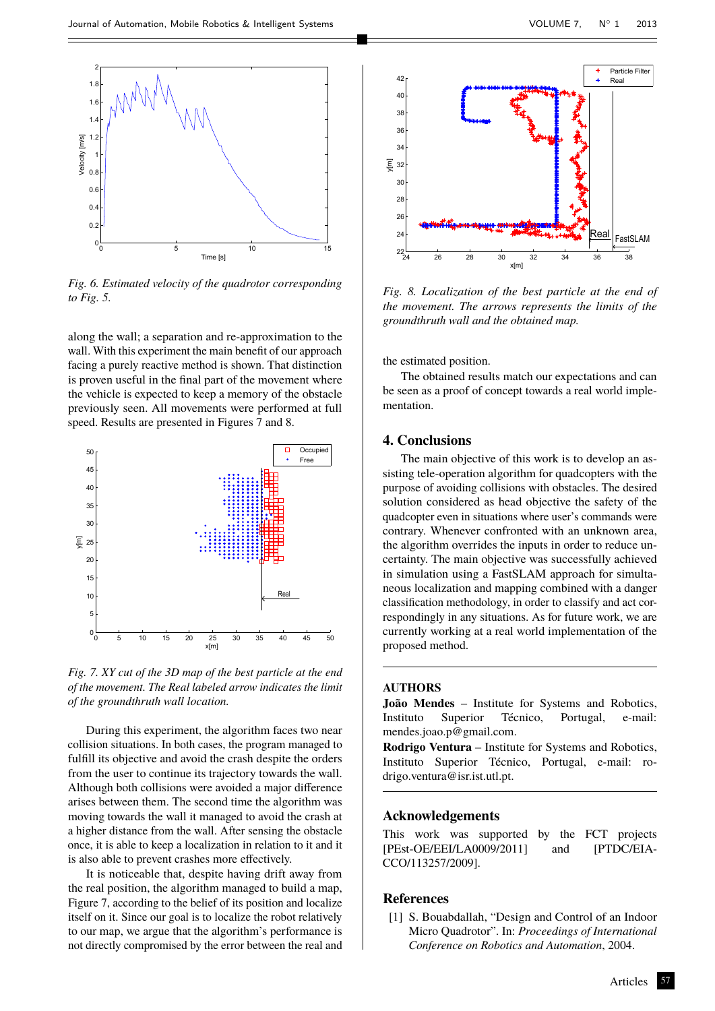

*Fig. 6. Estimated velocity of the quadrotor corresponding to Fig. 5.*

along the wall; a separation and re-approximation to the wall. With this experiment the main benefit of our approach facing a purely reactive method is shown. That distinction is proven useful in the final part of the movement where the vehicle is expected to keep a memory of the obstacle previously seen. All movements were performed at full speed. Results are presented in Figures 7 and 8.





During this experiment, the algorithm faces two near collision situations. In both cases, the program managed to fulfill its objective and avoid the crash despite the orders from the user to continue its trajectory towards the wall. Although both collisions were avoided a major difference arises between them. The second time the algorithm was moving towards the wall it managed to avoid the crash at a higher distance from the wall. After sensing the obstacle once, it is able to keep a localization in relation to it and it is also able to prevent crashes more effectively.

It is noticeable that, despite having drift away from the real position, the algorithm managed to build a map, Figure 7, according to the belief of its position and localize itself on it. Since our goal is to localize the robot relatively to our map, we argue that the algorithm's performance is not directly compromised by the error between the real and



*Fig. 8. Localization of the best particle at the end of the movement. The arrows represents the limits of the groundthruth wall and the obtained map.*

the estimated position.

The obtained results match our expectations and can be seen as a proof of concept towards a real world implementation.

## **4. Conclusions**

The main objective of this work is to develop an assisting tele-operation algorithm for quadcopters with the purpose of avoiding collisions with obstacles. The desired solution considered as head objective the safety of the quadcopter even in situations where user's commands were contrary. Whenever confronted with an unknown area, the algorithm overrides the inputs in order to reduce uncertainty. The main objective was successfully achieved in simulation using a FastSLAM approach for simultaneous localization and mapping combined with a danger classification methodology, in order to classify and act correspondingly in any situations. As for future work, we are currently working at a real world implementation of the proposed method.

#### **AUTHORS**

**João Mendes** – Institute for Systems and Robotics, Instituto Superior Técnico, Portugal, e-mail: mendes.joao.p@gmail.com.

**Rodrigo Ventura** – Institute for Systems and Robotics, Instituto Superior Técnico, Portugal, e-mail: rodrigo.ventura@isr.ist.utl.pt.

## **Acknowledgements**

This work was supported by the FCT projects [PEst-OE/EEI/LA0009/2011] and [PTDC/EIA-CCO/113257/2009].

## <span id="page-3-0"></span>**References**

[1] S. Bouabdallah, "Design and Control of an Indoor Micro Quadrotor". In: *Proceedings of International Conference on Robotics and Automation*, 2004.